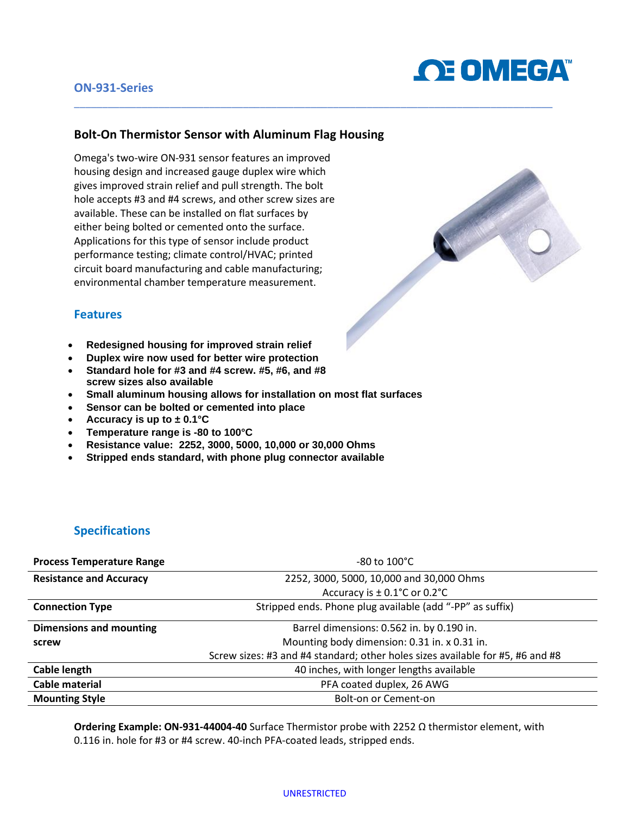

### **ON-931-Series**

### **Bolt-On Thermistor Sensor with Aluminum Flag Housing**

\_\_\_\_\_\_\_\_\_\_\_\_\_\_\_\_\_\_\_\_\_\_\_\_\_\_\_\_\_\_\_\_\_\_\_\_\_\_\_\_\_\_\_\_\_\_\_\_\_\_\_\_\_\_\_\_\_\_\_\_\_\_\_\_\_\_\_\_\_\_\_\_\_\_\_\_\_\_\_\_\_\_\_\_\_

Omega's two-wire ON-931 sensor features an improved housing design and increased gauge duplex wire which gives improved strain relief and pull strength. The bolt hole accepts #3 and #4 screws, and other screw sizes are available. These can be installed on flat surfaces by either being bolted or cemented onto the surface. Applications for this type of sensor include product performance testing; climate control/HVAC; printed circuit board manufacturing and cable manufacturing; environmental chamber temperature measurement.



#### **Features**

- **Redesigned housing for improved strain relief**
- **Duplex wire now used for better wire protection**
- **Standard hole for #3 and #4 screw. #5, #6, and #8 screw sizes also available**
- **Small aluminum housing allows for installation on most flat surfaces**
- **Sensor can be bolted or cemented into place**
- **Accuracy is up to ± 0.1°C**
- **Temperature range is -80 to 100°C**
- **Resistance value: 2252, 3000, 5000, 10,000 or 30,000 Ohms**
- **Stripped ends standard, with phone plug connector available**

## **Specifications**

| <b>Process Temperature Range</b> | $-80$ to $100^{\circ}$ C                                                       |  |
|----------------------------------|--------------------------------------------------------------------------------|--|
| <b>Resistance and Accuracy</b>   | 2252, 3000, 5000, 10,000 and 30,000 Ohms                                       |  |
|                                  | Accuracy is $\pm$ 0.1°C or 0.2°C                                               |  |
| <b>Connection Type</b>           | Stripped ends. Phone plug available (add "-PP" as suffix)                      |  |
| <b>Dimensions and mounting</b>   | Barrel dimensions: 0.562 in. by 0.190 in.                                      |  |
| screw                            | Mounting body dimension: 0.31 in. x 0.31 in.                                   |  |
|                                  | Screw sizes: #3 and #4 standard; other holes sizes available for #5, #6 and #8 |  |
| Cable length                     | 40 inches, with longer lengths available                                       |  |
| Cable material                   | PFA coated duplex, 26 AWG                                                      |  |
| <b>Mounting Style</b>            | Bolt-on or Cement-on                                                           |  |

**Ordering Example: ON-931-44004-40** Surface Thermistor probe with 2252 Ω thermistor element, with 0.116 in. hole for #3 or #4 screw. 40-inch PFA-coated leads, stripped ends.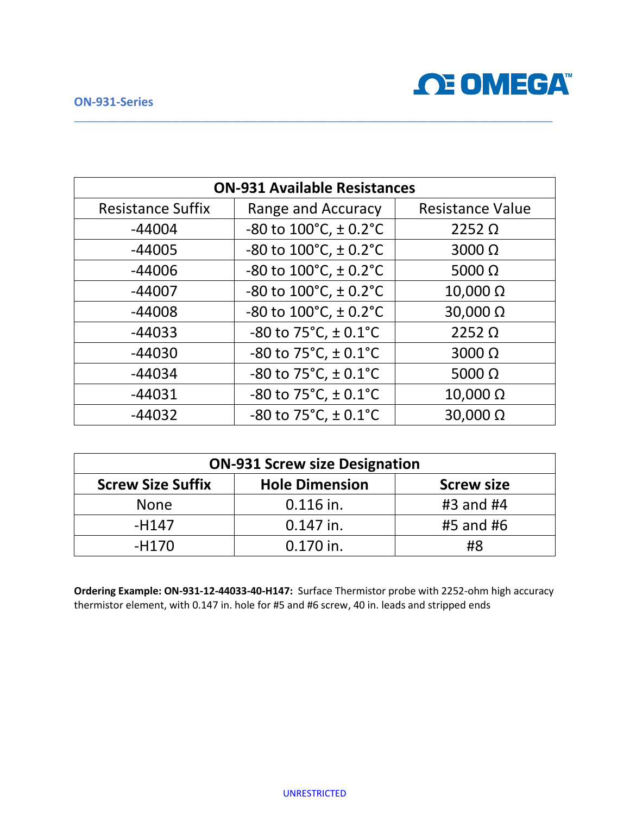### **ON-931-Series**



| <b>ON-931 Available Resistances</b> |                                                  |                         |  |
|-------------------------------------|--------------------------------------------------|-------------------------|--|
| <b>Resistance Suffix</b>            | Range and Accuracy                               | <b>Resistance Value</b> |  |
| $-44004$                            | $-80$ to $100^{\circ}$ C, $\pm$ 0.2 $^{\circ}$ C | $2252 \Omega$           |  |
| $-44005$                            | -80 to $100^{\circ}$ C, $\pm$ 0.2 $^{\circ}$ C   | $3000 \Omega$           |  |
| $-44006$                            | -80 to $100^{\circ}$ C, $\pm$ 0.2 $^{\circ}$ C   | 5000 $\Omega$           |  |
| $-44007$                            | -80 to $100^{\circ}$ C, $\pm$ 0.2 $^{\circ}$ C   | $10,000 \Omega$         |  |
| $-44008$                            | -80 to $100^{\circ}$ C, $\pm$ 0.2 $^{\circ}$ C   | 30,000 Ω                |  |
| $-44033$                            | -80 to 75 $^{\circ}$ C, ± 0.1 $^{\circ}$ C       | $2252 \Omega$           |  |
| $-44030$                            | -80 to 75 $^{\circ}$ C, ± 0.1 $^{\circ}$ C       | $3000 \Omega$           |  |
| $-44034$                            | $-80$ to 75 $°C$ , $\pm$ 0.1 $°C$                | 5000 $\Omega$           |  |
| $-44031$                            | -80 to $75^{\circ}$ C, $\pm$ 0.1 $^{\circ}$ C    | $10,000 \Omega$         |  |
| $-44032$                            | -80 to $75^{\circ}$ C, $\pm$ 0.1 $^{\circ}$ C    | 30,000 Ω                |  |

\_\_\_\_\_\_\_\_\_\_\_\_\_\_\_\_\_\_\_\_\_\_\_\_\_\_\_\_\_\_\_\_\_\_\_\_\_\_\_\_\_\_\_\_\_\_\_\_\_\_\_\_\_\_\_\_\_\_\_\_\_\_\_\_\_\_\_\_\_\_\_\_\_\_\_\_\_\_\_\_\_\_\_\_\_

| <b>ON-931 Screw size Designation</b> |                       |                   |  |
|--------------------------------------|-----------------------|-------------------|--|
| <b>Screw Size Suffix</b>             | <b>Hole Dimension</b> | <b>Screw size</b> |  |
| <b>None</b>                          | $0.116$ in.           | #3 and #4         |  |
| $-H147$                              | $0.147$ in.           | #5 and #6         |  |
| $-H170$                              | $0.170$ in.           | #8                |  |

**Ordering Example: ON-931-12-44033-40-H147:** Surface Thermistor probe with 2252-ohm high accuracy thermistor element, with 0.147 in. hole for #5 and #6 screw, 40 in. leads and stripped ends